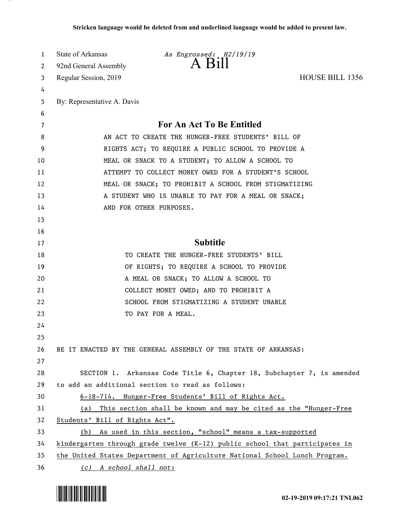| 1  | State of Arkansas                                  | As Engrossed: H2/19/19                                                      |                        |
|----|----------------------------------------------------|-----------------------------------------------------------------------------|------------------------|
| 2  | 92nd General Assembly                              |                                                                             |                        |
| 3  | Regular Session, 2019                              |                                                                             | <b>HOUSE BILL 1356</b> |
| 4  |                                                    |                                                                             |                        |
| 5  | By: Representative A. Davis                        |                                                                             |                        |
| 6  |                                                    |                                                                             |                        |
| 7  |                                                    | For An Act To Be Entitled                                                   |                        |
| 8  | AN ACT TO CREATE THE HUNGER-FREE STUDENTS' BILL OF |                                                                             |                        |
| 9  |                                                    | RIGHTS ACT; TO REQUIRE A PUBLIC SCHOOL TO PROVIDE A                         |                        |
| 10 |                                                    | MEAL OR SNACK TO A STUDENT; TO ALLOW A SCHOOL TO                            |                        |
| 11 |                                                    | ATTEMPT TO COLLECT MONEY OWED FOR A STUDENT'S SCHOOL                        |                        |
| 12 |                                                    | MEAL OR SNACK; TO PROHIBIT A SCHOOL FROM STIGMATIZING                       |                        |
| 13 |                                                    | A STUDENT WHO IS UNABLE TO PAY FOR A MEAL OR SNACK;                         |                        |
| 14 |                                                    | AND FOR OTHER PURPOSES.                                                     |                        |
| 15 |                                                    |                                                                             |                        |
| 16 |                                                    |                                                                             |                        |
| 17 |                                                    | <b>Subtitle</b>                                                             |                        |
| 18 |                                                    | TO CREATE THE HUNGER-FREE STUDENTS' BILL                                    |                        |
| 19 |                                                    | OF RIGHTS; TO REQUIRE A SCHOOL TO PROVIDE                                   |                        |
| 20 |                                                    | A MEAL OR SNACK; TO ALLOW A SCHOOL TO                                       |                        |
| 21 |                                                    | COLLECT MONEY OWED; AND TO PROHIBIT A                                       |                        |
| 22 |                                                    | SCHOOL FROM STIGMATIZING A STUDENT UNABLE                                   |                        |
| 23 |                                                    | TO PAY FOR A MEAL.                                                          |                        |
| 24 |                                                    |                                                                             |                        |
| 25 |                                                    |                                                                             |                        |
| 26 |                                                    | BE IT ENACTED BY THE GENERAL ASSEMBLY OF THE STATE OF ARKANSAS:             |                        |
| 27 |                                                    |                                                                             |                        |
| 28 |                                                    | SECTION 1. Arkansas Code Title 6, Chapter 18, Subchapter 7, is amended      |                        |
| 29 |                                                    | to add an additional section to read as follows:                            |                        |
| 30 |                                                    | 6-18-714. Hunger-Free Students' Bill of Rights Act.                         |                        |
| 31 |                                                    | (a) This section shall be known and may be cited as the "Hunger-Free        |                        |
| 32 | Students' Bill of Rights Act".                     |                                                                             |                        |
| 33 |                                                    | (b) As used in this section, "school" means a tax-supported                 |                        |
| 34 |                                                    | kindergarten through grade twelve (K-12) public school that participates in |                        |
| 35 |                                                    | the United States Department of Agriculture National School Lunch Program.  |                        |
| 36 | (c) A school shall not:                            |                                                                             |                        |

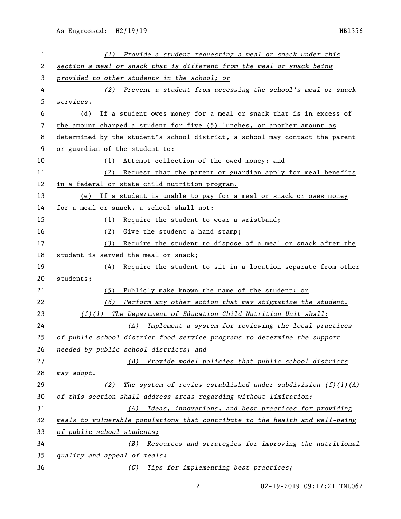| 1  | $(1)$ Provide a student requesting a meal or snack under this                |  |  |
|----|------------------------------------------------------------------------------|--|--|
| 2  | section a meal or snack that is different from the meal or snack being       |  |  |
| 3  | provided to other students in the school; or                                 |  |  |
| 4  | $(2)$ Prevent a student from accessing the school's meal or snack            |  |  |
| 5  | services.                                                                    |  |  |
| 6  | If a student owes money for a meal or snack that is in excess of<br>(d)      |  |  |
| 7  | the amount charged a student for five (5) lunches, or another amount as      |  |  |
| 8  | determined by the student's school district, a school may contact the parent |  |  |
| 9  | or guardian of the student to:                                               |  |  |
| 10 | (1) Attempt collection of the owed money; and                                |  |  |
| 11 | Request that the parent or guardian apply for meal benefits<br>(2)           |  |  |
| 12 | in a federal or state child nutrition program.                               |  |  |
| 13 | (e) If a student is unable to pay for a meal or snack or owes money          |  |  |
| 14 | for a meal or snack, a school shall not:                                     |  |  |
| 15 | (1) Require the student to wear a wristband;                                 |  |  |
| 16 | (2) Give the student a hand stamp;                                           |  |  |
| 17 | Require the student to dispose of a meal or snack after the<br>(3)           |  |  |
| 18 | student is served the meal or snack;                                         |  |  |
| 19 | $(4)$ Require the student to sit in a location separate from other           |  |  |
| 20 | students;                                                                    |  |  |
| 21 | Publicly make known the name of the student; or<br>(5)                       |  |  |
| 22 | Perform any other action that may stigmatize the student.<br>(6)             |  |  |
| 23 | $(f)(1)$ The Department of Education Child Nutrition Unit shall:             |  |  |
| 24 | (A) Implement a system for reviewing the local practices                     |  |  |
| 25 | of public school district food service programs to determine the support     |  |  |
| 26 | needed by public school districts; and                                       |  |  |
| 27 | Provide model policies that public school districts<br>(B)                   |  |  |
| 28 | may adopt.                                                                   |  |  |
| 29 | The system of review established under subdivision $(f)(1)(A)$<br>(2)        |  |  |
| 30 | of this section shall address areas regarding without limitation:            |  |  |
| 31 | Ideas, innovations, and best practices for providing<br>(A)                  |  |  |
| 32 | meals to vulnerable populations that contribute to the health and well-being |  |  |
| 33 | of public school students;                                                   |  |  |
| 34 | (B) Resources and strategies for improving the nutritional                   |  |  |
| 35 | quality and appeal of meals;                                                 |  |  |
| 36 | Tips for implementing best practices;<br>(C)                                 |  |  |

02-19-2019 09:17:21 TNL062